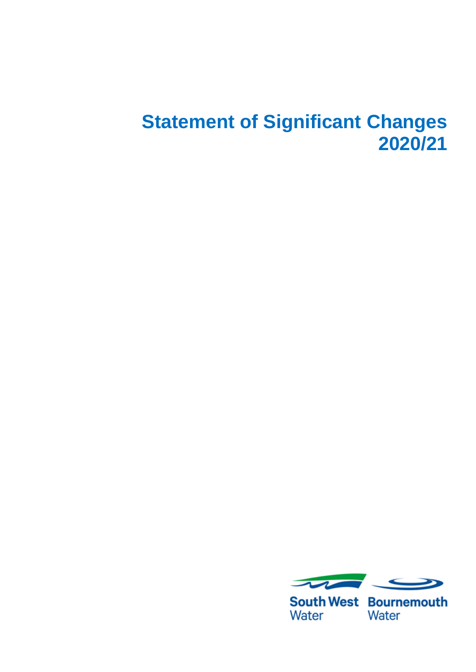## **Statement of Significant Changes 2020/21**



**South West Bournemouth** Water Water